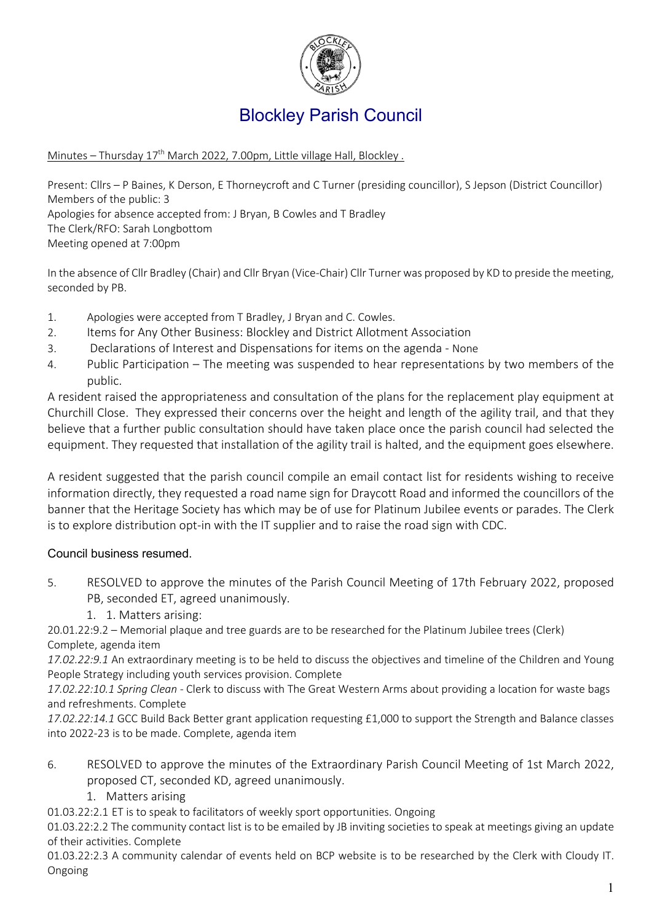

# Blockley Parish Council

#### Minutes - Thursday 17<sup>th</sup> March 2022, 7.00pm, Little village Hall, Blockley.

Present: Cllrs – P Baines, K Derson, E Thorneycroft and C Turner (presiding councillor), S Jepson (District Councillor) Members of the public: 3 Apologies for absence accepted from: J Bryan, B Cowles and T Bradley The Clerk/RFO: Sarah Longbottom Meeting opened at 7:00pm

In the absence of Cllr Bradley (Chair) and Cllr Bryan (Vice-Chair) Cllr Turner was proposed by KD to preside the meeting, seconded by PB.

- 1. Apologies were accepted from T Bradley, J Bryan and C. Cowles.
- 2. Items for Any Other Business: Blockley and District Allotment Association
- 3. Declarations of Interest and Dispensations for items on the agenda None
- 4. Public Participation The meeting was suspended to hear representations by two members of the public.

A resident raised the appropriateness and consultation of the plans for the replacement play equipment at Churchill Close. They expressed their concerns over the height and length of the agility trail, and that they believe that a further public consultation should have taken place once the parish council had selected the equipment. They requested that installation of the agility trail is halted, and the equipment goes elsewhere.

A resident suggested that the parish council compile an email contact list for residents wishing to receive information directly, they requested a road name sign for Draycott Road and informed the councillors of the banner that the Heritage Society has which may be of use for Platinum Jubilee events or parades. The Clerk is to explore distribution opt-in with the IT supplier and to raise the road sign with CDC.

# Council business resumed.

- 5. RESOLVED to approve the minutes of the Parish Council Meeting of 17th February 2022, proposed PB, seconded ET, agreed unanimously.
	- 1. 1. Matters arising:

20.01.22:9.2 – Memorial plaque and tree guards are to be researched for the Platinum Jubilee trees (Clerk) Complete, agenda item

*17.02.22:9.1* An extraordinary meeting is to be held to discuss the objectives and timeline of the Children and Young People Strategy including youth services provision. Complete

*17.02.22:10.1 Spring Clean -* Clerk to discuss with The Great Western Arms about providing a location for waste bags and refreshments. Complete

*17.02.22:14.1* GCC Build Back Better grant application requesting £1,000 to support the Strength and Balance classes into 2022-23 is to be made. Complete, agenda item

- 6. RESOLVED to approve the minutes of the Extraordinary Parish Council Meeting of 1st March 2022, proposed CT, seconded KD, agreed unanimously.
	- 1. Matters arising

01.03.22:2.1 ET is to speak to facilitators of weekly sport opportunities. Ongoing

01.03.22:2.2 The community contact list is to be emailed by JB inviting societies to speak at meetings giving an update of their activities. Complete

01.03.22:2.3 A community calendar of events held on BCP website is to be researched by the Clerk with Cloudy IT. Ongoing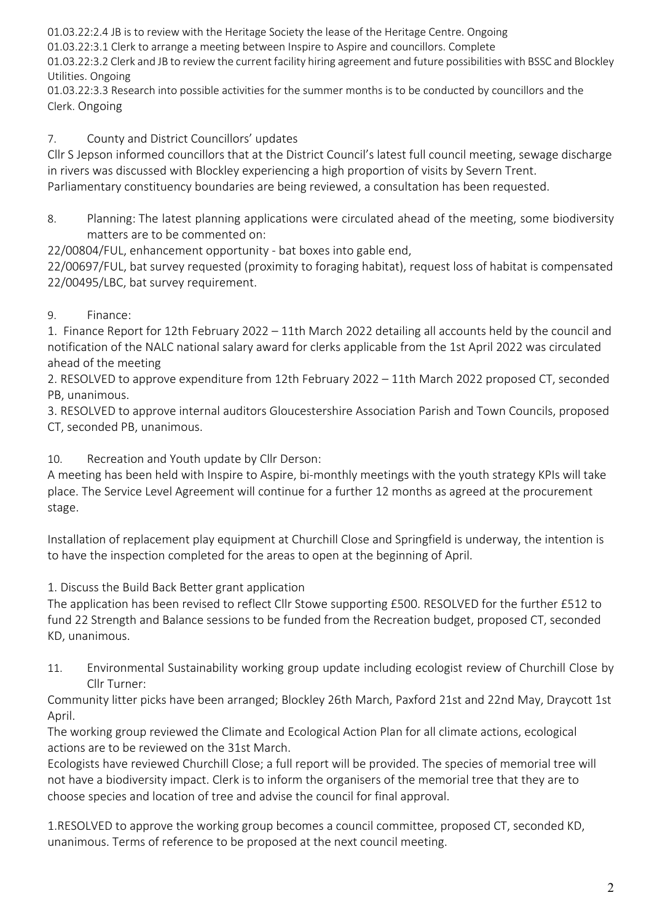01.03.22:2.4 JB is to review with the Heritage Society the lease of the Heritage Centre. Ongoing

01.03.22:3.1 Clerk to arrange a meeting between Inspire to Aspire and councillors. Complete

01.03.22:3.2 Clerk and JB to review the current facility hiring agreement and future possibilities with BSSC and Blockley Utilities. Ongoing

01.03.22:3.3 Research into possible activities for the summer months is to be conducted by councillors and the Clerk. Ongoing

7. County and District Councillors' updates

Cllr S Jepson informed councillors that at the District Council's latest full council meeting, sewage discharge in rivers was discussed with Blockley experiencing a high proportion of visits by Severn Trent. Parliamentary constituency boundaries are being reviewed, a consultation has been requested.

8. Planning: The latest planning applications were circulated ahead of the meeting, some biodiversity matters are to be commented on:

22/00804/FUL, enhancement opportunity - bat boxes into gable end,

22/00697/FUL, bat survey requested (proximity to foraging habitat), request loss of habitat is compensated 22/00495/LBC, bat survey requirement.

# 9. Finance:

1. Finance Report for 12th February 2022 – 11th March 2022 detailing all accounts held by the council and notification of the NALC national salary award for clerks applicable from the 1st April 2022 was circulated ahead of the meeting

2. RESOLVED to approve expenditure from 12th February 2022 – 11th March 2022 proposed CT, seconded PB, unanimous.

3. RESOLVED to approve internal auditors Gloucestershire Association Parish and Town Councils, proposed CT, seconded PB, unanimous.

10. Recreation and Youth update by Cllr Derson:

A meeting has been held with Inspire to Aspire, bi-monthly meetings with the youth strategy KPIs will take place. The Service Level Agreement will continue for a further 12 months as agreed at the procurement stage.

Installation of replacement play equipment at Churchill Close and Springfield is underway, the intention is to have the inspection completed for the areas to open at the beginning of April.

1. Discuss the Build Back Better grant application

The application has been revised to reflect Cllr Stowe supporting £500. RESOLVED for the further £512 to fund 22 Strength and Balance sessions to be funded from the Recreation budget, proposed CT, seconded KD, unanimous.

11. Environmental Sustainability working group update including ecologist review of Churchill Close by Cllr Turner:

Community litter picks have been arranged; Blockley 26th March, Paxford 21st and 22nd May, Draycott 1st April.

The working group reviewed the Climate and Ecological Action Plan for all climate actions, ecological actions are to be reviewed on the 31st March.

Ecologists have reviewed Churchill Close; a full report will be provided. The species of memorial tree will not have a biodiversity impact. Clerk is to inform the organisers of the memorial tree that they are to choose species and location of tree and advise the council for final approval.

1.RESOLVED to approve the working group becomes a council committee, proposed CT, seconded KD, unanimous. Terms of reference to be proposed at the next council meeting.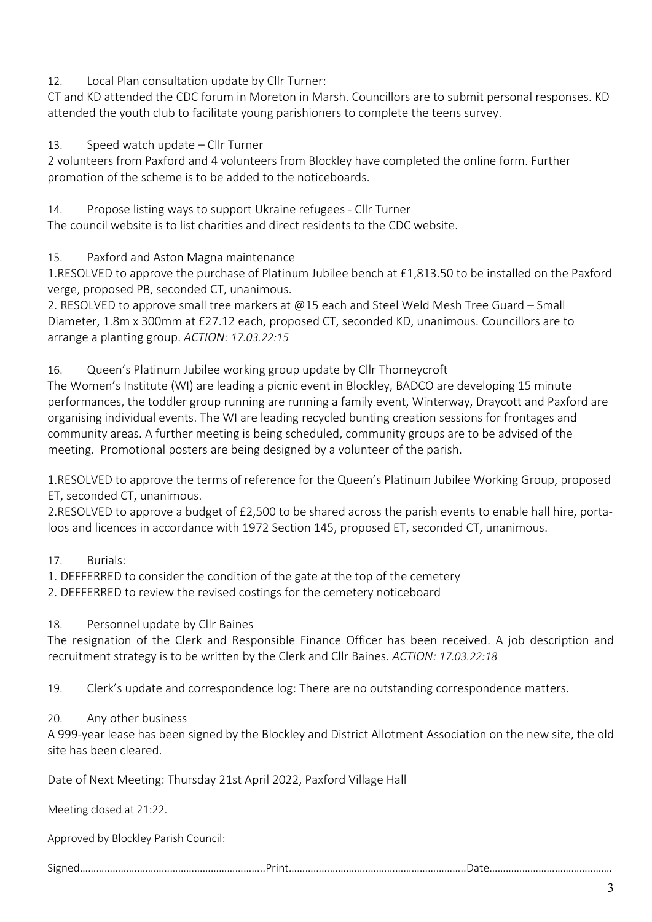12. Local Plan consultation update by Cllr Turner:

CT and KD attended the CDC forum in Moreton in Marsh. Councillors are to submit personal responses. KD attended the youth club to facilitate young parishioners to complete the teens survey.

#### 13. Speed watch update – Cllr Turner

2 volunteers from Paxford and 4 volunteers from Blockley have completed the online form. Further promotion of the scheme is to be added to the noticeboards.

14. Propose listing ways to support Ukraine refugees - Cllr Turner The council website is to list charities and direct residents to the CDC website.

# 15. Paxford and Aston Magna maintenance

1.RESOLVED to approve the purchase of Platinum Jubilee bench at £1,813.50 to be installed on the Paxford verge, proposed PB, seconded CT, unanimous.

2. RESOLVED to approve small tree markers at @15 each and Steel Weld Mesh Tree Guard – Small Diameter, 1.8m x 300mm at £27.12 each, proposed CT, seconded KD, unanimous. Councillors are to arrange a planting group. *ACTION: 17.03.22:15*

16. Queen's Platinum Jubilee working group update by Cllr Thorneycroft

The Women's Institute (WI) are leading a picnic event in Blockley, BADCO are developing 15 minute performances, the toddler group running are running a family event, Winterway, Draycott and Paxford are organising individual events. The WI are leading recycled bunting creation sessions for frontages and community areas. A further meeting is being scheduled, community groups are to be advised of the meeting. Promotional posters are being designed by a volunteer of the parish.

1.RESOLVED to approve the terms of reference for the Queen's Platinum Jubilee Working Group, proposed ET, seconded CT, unanimous.

2.RESOLVED to approve a budget of £2,500 to be shared across the parish events to enable hall hire, portaloos and licences in accordance with 1972 Section 145, proposed ET, seconded CT, unanimous.

# 17. Burials:

1. DEFFERRED to consider the condition of the gate at the top of the cemetery

2. DEFFERRED to review the revised costings for the cemetery noticeboard

# 18. Personnel update by Cllr Baines

The resignation of the Clerk and Responsible Finance Officer has been received. A job description and recruitment strategy is to be written by the Clerk and Cllr Baines. *ACTION: 17.03.22:18*

19. Clerk's update and correspondence log: There are no outstanding correspondence matters.

# 20. Any other business

A 999-year lease has been signed by the Blockley and District Allotment Association on the new site, the old site has been cleared.

Date of Next Meeting: Thursday 21st April 2022, Paxford Village Hall

Meeting closed at 21:22.

Approved by Blockley Parish Council:

Signed…………………………………………………………..Print………………………………………………………..Date………………………………………